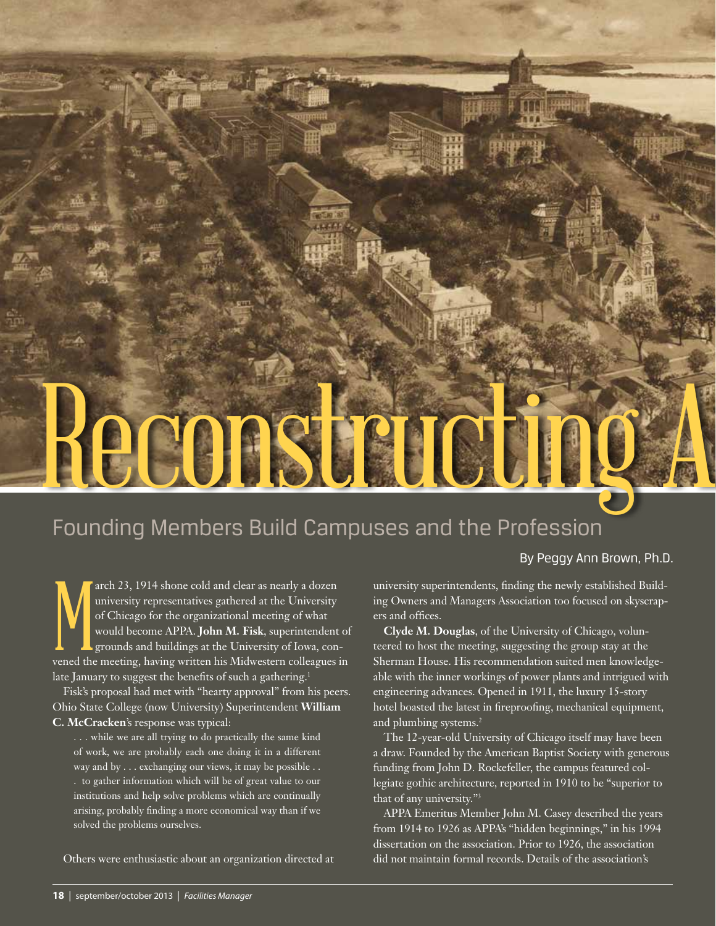# Reconstructi

# Founding Members Build Campuses and the Profession

# By Peggy Ann Brown, Ph.D.

The method of Chicago for the organizational meeting of what would become APPA. **John M. Fisk**, superintendent of grounds and buildings at the University of Iowa, convened the meeting, having written his Midwestern colleag arch 23, 1914 shone cold and clear as nearly a dozen university representatives gathered at the University of Chicago for the organizational meeting of what would become APPA. **John M. Fisk**, superintendent of grounds and buildings at the University of Iowa, conlate January to suggest the benefits of such a gathering.<sup>1</sup>

Fisk's proposal had met with "hearty approval" from his peers. Ohio State College (now University) Superintendent **William C. McCracken**'s response was typical:

. . . while we are all trying to do practically the same kind of work, we are probably each one doing it in a different way and by . . . exchanging our views, it may be possible . . . to gather information which will be of great value to our institutions and help solve problems which are continually arising, probably finding a more economical way than if we solved the problems ourselves.

Others were enthusiastic about an organization directed at

university superintendents, finding the newly established Building Owners and Managers Association too focused on skyscrapers and offices.

**Clyde M. Douglas**, of the University of Chicago, volunteered to host the meeting, suggesting the group stay at the Sherman House. His recommendation suited men knowledgeable with the inner workings of power plants and intrigued with engineering advances. Opened in 1911, the luxury 15-story hotel boasted the latest in fireproofing, mechanical equipment, and plumbing systems.<sup>2</sup>

The 12-year-old University of Chicago itself may have been a draw. Founded by the American Baptist Society with generous funding from John D. Rockefeller, the campus featured collegiate gothic architecture, reported in 1910 to be "superior to that of any university."3

APPA Emeritus Member John M. Casey described the years from 1914 to 1926 as APPA's "hidden beginnings," in his 1994 dissertation on the association. Prior to 1926, the association did not maintain formal records. Details of the association's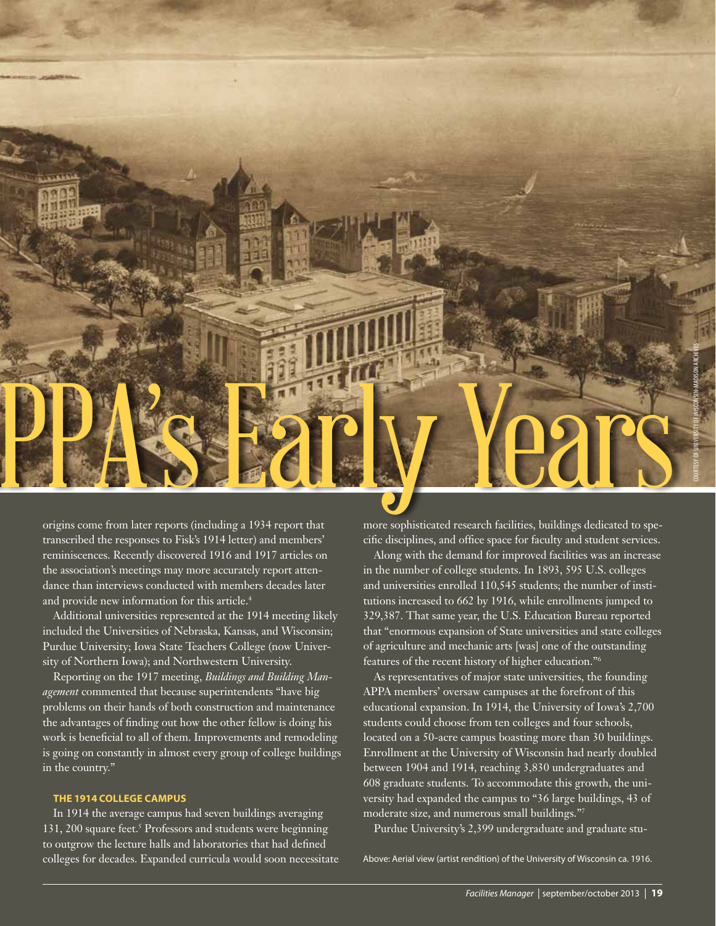

origins come from later reports (including a 1934 report that transcribed the responses to Fisk's 1914 letter) and members' reminiscences. Recently discovered 1916 and 1917 articles on the association's meetings may more accurately report attendance than interviews conducted with members decades later and provide new information for this article.<sup>4</sup>

Additional universities represented at the 1914 meeting likely included the Universities of Nebraska, Kansas, and Wisconsin; Purdue University; Iowa State Teachers College (now University of Northern Iowa); and Northwestern University.

Reporting on the 1917 meeting, *Buildings and Building Management* commented that because superintendents "have big problems on their hands of both construction and maintenance the advantages of finding out how the other fellow is doing his work is beneficial to all of them. Improvements and remodeling is going on constantly in almost every group of college buildings in the country."

## **THE 1914 COLLEGE CAMPUS**

In 1914 the average campus had seven buildings averaging 131, 200 square feet.<sup>5</sup> Professors and students were beginning to outgrow the lecture halls and laboratories that had defined colleges for decades. Expanded curricula would soon necessitate more sophisticated research facilities, buildings dedicated to specific disciplines, and office space for faculty and student services.

Along with the demand for improved facilities was an increase in the number of college students. In 1893, 595 U.S. colleges and universities enrolled 110,545 students; the number of institutions increased to 662 by 1916, while enrollments jumped to 329,387. That same year, the U.S. Education Bureau reported that "enormous expansion of State universities and state colleges of agriculture and mechanic arts [was] one of the outstanding features of the recent history of higher education."6

As representatives of major state universities, the founding APPA members' oversaw campuses at the forefront of this educational expansion. In 1914, the University of Iowa's 2,700 students could choose from ten colleges and four schools, located on a 50-acre campus boasting more than 30 buildings. Enrollment at the University of Wisconsin had nearly doubled between 1904 and 1914, reaching 3,830 undergraduates and 608 graduate students. To accommodate this growth, the university had expanded the campus to "36 large buildings, 43 of moderate size, and numerous small buildings."7

Purdue University's 2,399 undergraduate and graduate stu-

Above: Aerial view (artist rendition) of the University of Wisconsin ca. 1916.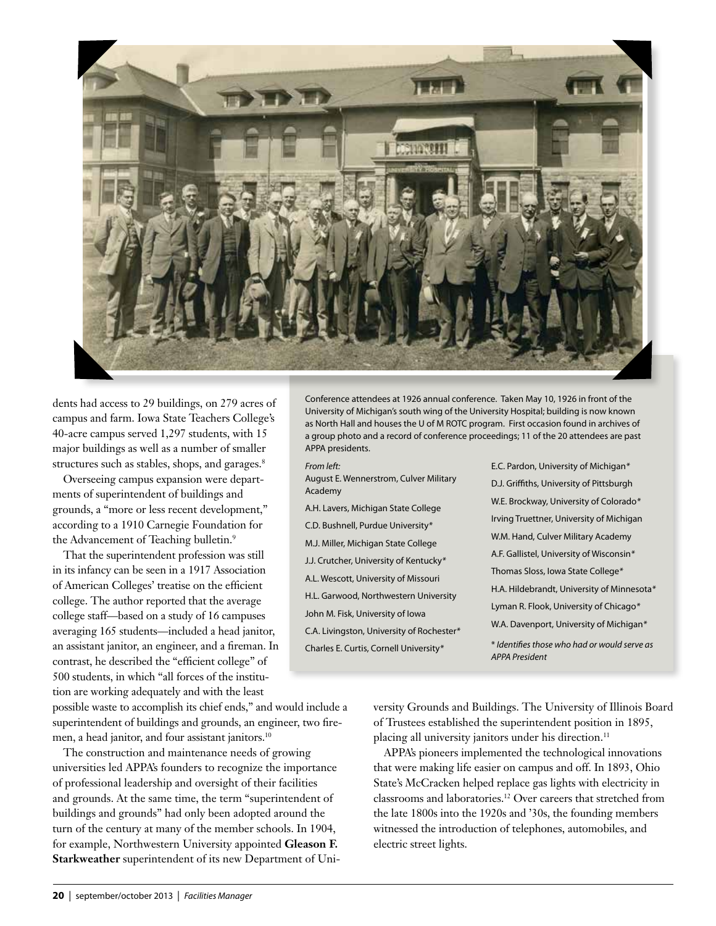

dents had access to 29 buildings, on 279 acres of campus and farm. Iowa State Teachers College's 40-acre campus served 1,297 students, with 15 major buildings as well as a number of smaller structures such as stables, shops, and garages.<sup>8</sup>

Overseeing campus expansion were departments of superintendent of buildings and grounds, a "more or less recent development," according to a 1910 Carnegie Foundation for the Advancement of Teaching bulletin.<sup>9</sup>

That the superintendent profession was still in its infancy can be seen in a 1917 Association of American Colleges' treatise on the efficient college. The author reported that the average college staff—based on a study of 16 campuses averaging 165 students—included a head janitor, an assistant janitor, an engineer, and a fireman. In contrast, he described the "efficient college" of 500 students, in which "all forces of the institution are working adequately and with the least

possible waste to accomplish its chief ends," and would include a superintendent of buildings and grounds, an engineer, two firemen, a head janitor, and four assistant janitors.<sup>10</sup>

The construction and maintenance needs of growing universities led APPA's founders to recognize the importance of professional leadership and oversight of their facilities and grounds. At the same time, the term "superintendent of buildings and grounds" had only been adopted around the turn of the century at many of the member schools. In 1904, for example, Northwestern University appointed **Gleason F. Starkweather** superintendent of its new Department of Uni-

Conference attendees at 1926 annual conference. Taken May 10, 1926 in front of the University of Michigan's south wing of the University Hospital; building is now known as North Hall and houses the U of M ROTC program. First occasion found in archives of a group photo and a record of conference proceedings; 11 of the 20 attendees are past APPA presidents.

#### *From left:*

- August E. Wennerstrom, Culver Military Academy
- A.H. Lavers, Michigan State College C.D. Bushnell, Purdue University*\** M.J. Miller, Michigan State College J.J. Crutcher, University of Kentucky*\** A.L. Wescott, University of Missouri H.L. Garwood, Northwestern University John M. Fisk, University of Iowa C.A. Livingston, University of Rochester*\** Charles E. Curtis, Cornell University*\**
- E.C. Pardon, University of Michigan*\** D.J. Griffiths, University of Pittsburgh W.E. Brockway, University of Colorado*\** Irving Truettner, University of Michigan W.M. Hand, Culver Military Academy A.F. Gallistel, University of Wisconsin*\** Thomas Sloss, Iowa State College*\** H.A. Hildebrandt, University of Minnesota*\** Lyman R. Flook, University of Chicago*\** W.A. Davenport, University of Michigan*\**

\* *Identifies those who had or would serve as APPA President*

versity Grounds and Buildings. The University of Illinois Board of Trustees established the superintendent position in 1895, placing all university janitors under his direction.<sup>11</sup>

APPA's pioneers implemented the technological innovations that were making life easier on campus and off. In 1893, Ohio State's McCracken helped replace gas lights with electricity in classrooms and laboratories.12 Over careers that stretched from the late 1800s into the 1920s and '30s, the founding members witnessed the introduction of telephones, automobiles, and electric street lights.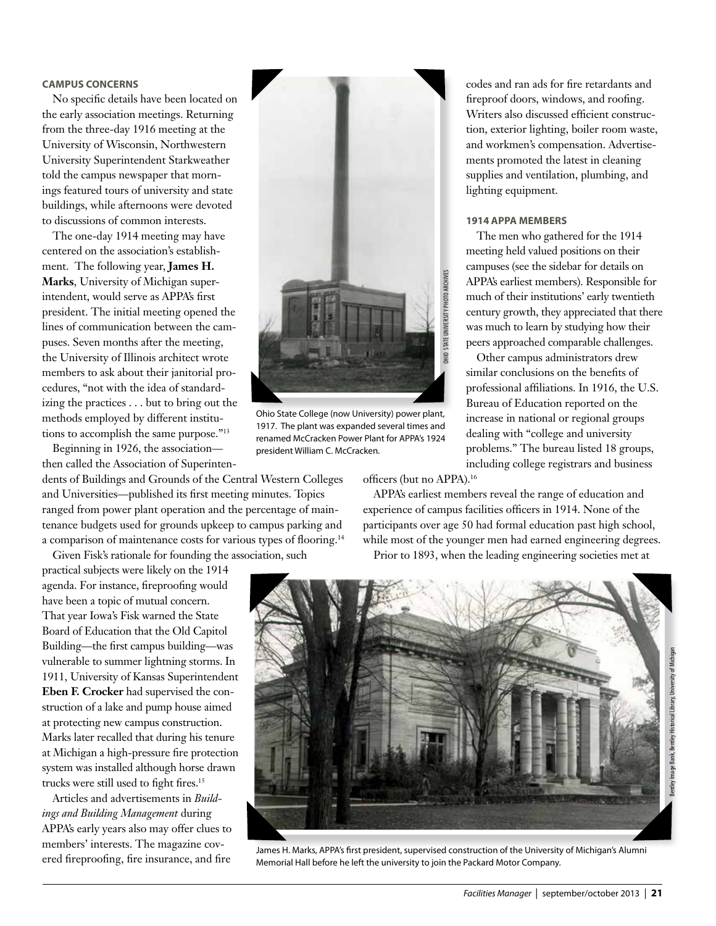# **CAMPUS CONCERNS**

No specific details have been located on the early association meetings. Returning from the three-day 1916 meeting at the University of Wisconsin, Northwestern University Superintendent Starkweather told the campus newspaper that mornings featured tours of university and state buildings, while afternoons were devoted to discussions of common interests.

The one-day 1914 meeting may have centered on the association's establishment. The following year, **James H. Marks**, University of Michigan superintendent, would serve as APPA's first president. The initial meeting opened the lines of communication between the campuses. Seven months after the meeting, the University of Illinois architect wrote members to ask about their janitorial procedures, "not with the idea of standardizing the practices . . . but to bring out the methods employed by different institutions to accomplish the same purpose."<sup>13</sup>

Beginning in 1926, the association then called the Association of Superinten-

dents of Buildings and Grounds of the Central Western Colleges and Universities—published its first meeting minutes. Topics ranged from power plant operation and the percentage of maintenance budgets used for grounds upkeep to campus parking and a comparison of maintenance costs for various types of flooring.14

Given Fisk's rationale for founding the association, such practical subjects were likely on the 1914

agenda. For instance, fireproofing would have been a topic of mutual concern. That year Iowa's Fisk warned the State Board of Education that the Old Capitol Building—the first campus building—was vulnerable to summer lightning storms. In 1911, University of Kansas Superintendent **Eben F. Crocker** had supervised the construction of a lake and pump house aimed at protecting new campus construction. Marks later recalled that during his tenure at Michigan a high-pressure fire protection system was installed although horse drawn trucks were still used to fight fires.15

Articles and advertisements in *Buildings and Building Management* during APPA's early years also may offer clues to members' interests. The magazine covered fireproofing, fire insurance, and fire



Ohio State College (now University) power plant, 1917. The plant was expanded several times and renamed McCracken Power Plant for APPA's 1924 president William C. McCracken.

officers (but no APPA).16

APPA's earliest members reveal the range of education and experience of campus facilities officers in 1914. None of the participants over age 50 had formal education past high school, while most of the younger men had earned engineering degrees. Prior to 1893, when the leading engineering societies met at



James H. Marks, APPA's first president, supervised construction of the University of Michigan's Alumni Memorial Hall before he left the university to join the Packard Motor Company.

codes and ran ads for fire retardants and fireproof doors, windows, and roofing. Writers also discussed efficient construction, exterior lighting, boiler room waste, and workmen's compensation. Advertisements promoted the latest in cleaning supplies and ventilation, plumbing, and lighting equipment.

# **1914 APPA MEMBERS**

The men who gathered for the 1914 meeting held valued positions on their campuses (see the sidebar for details on APPA's earliest members). Responsible for much of their institutions' early twentieth century growth, they appreciated that there was much to learn by studying how their peers approached comparable challenges.

Other campus administrators drew similar conclusions on the benefits of professional affiliations. In 1916, the U.S. Bureau of Education reported on the increase in national or regional groups dealing with "college and university problems." The bureau listed 18 groups, including college registrars and business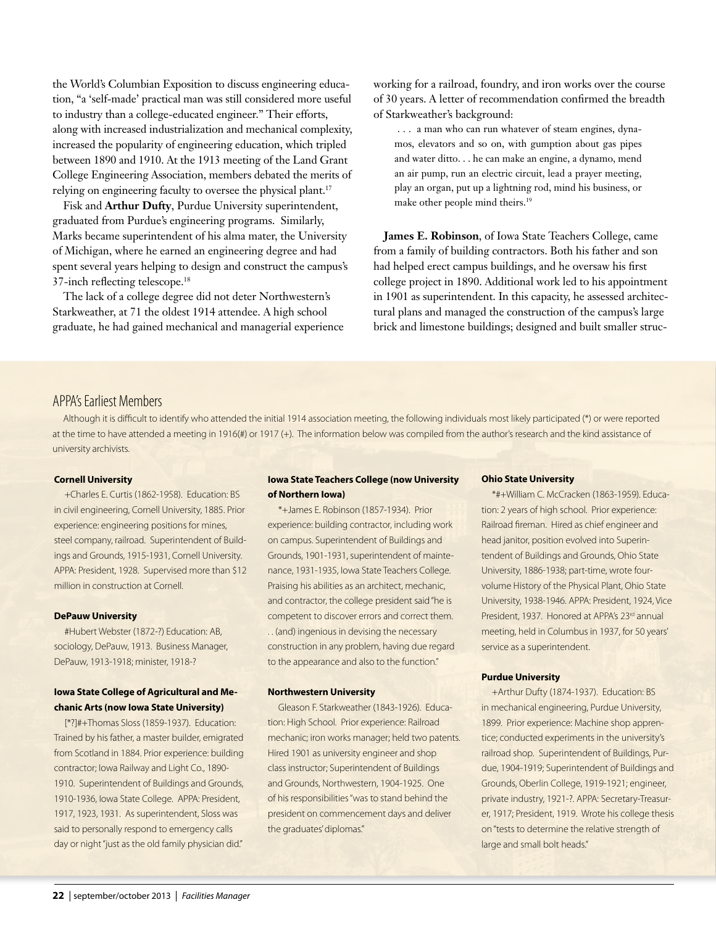the World's Columbian Exposition to discuss engineering education, "a 'self-made' practical man was still considered more useful to industry than a college-educated engineer." Their efforts, along with increased industrialization and mechanical complexity, increased the popularity of engineering education, which tripled between 1890 and 1910. At the 1913 meeting of the Land Grant College Engineering Association, members debated the merits of relying on engineering faculty to oversee the physical plant.<sup>17</sup>

Fisk and **Arthur Dufty**, Purdue University superintendent, graduated from Purdue's engineering programs. Similarly, Marks became superintendent of his alma mater, the University of Michigan, where he earned an engineering degree and had spent several years helping to design and construct the campus's 37-inch reflecting telescope.18

The lack of a college degree did not deter Northwestern's Starkweather, at 71 the oldest 1914 attendee. A high school graduate, he had gained mechanical and managerial experience working for a railroad, foundry, and iron works over the course of 30 years. A letter of recommendation confirmed the breadth of Starkweather's background:

 . . . a man who can run whatever of steam engines, dynamos, elevators and so on, with gumption about gas pipes and water ditto. . . he can make an engine, a dynamo, mend an air pump, run an electric circuit, lead a prayer meeting, play an organ, put up a lightning rod, mind his business, or make other people mind theirs.19

**James E. Robinson**, of Iowa State Teachers College, came from a family of building contractors. Both his father and son had helped erect campus buildings, and he oversaw his first college project in 1890. Additional work led to his appointment in 1901 as superintendent. In this capacity, he assessed architectural plans and managed the construction of the campus's large brick and limestone buildings; designed and built smaller struc-

# APPA's Earliest Members

Although it is difficult to identify who attended the initial 1914 association meeting, the following individuals most likely participated (\*) or were reported at the time to have attended a meeting in 1916(#) or 1917 (+). The information below was compiled from the author's research and the kind assistance of university archivists.

## **Cornell University**

+Charles E. Curtis (1862-1958). Education: BS in civil engineering, Cornell University, 1885. Prior experience: engineering positions for mines, steel company, railroad. Superintendent of Buildings and Grounds, 1915-1931, Cornell University. APPA: President, 1928. Supervised more than \$12 million in construction at Cornell.

#### **DePauw University**

#Hubert Webster (1872-?) Education: AB, sociology, DePauw, 1913. Business Manager, DePauw, 1913-1918; minister, 1918-?

# **Iowa State College of Agricultural and Mechanic Arts (now Iowa State University)**

[\*?]#+Thomas Sloss (1859-1937). Education: Trained by his father, a master builder, emigrated from Scotland in 1884. Prior experience: building contractor; Iowa Railway and Light Co., 1890- 1910. Superintendent of Buildings and Grounds, 1910-1936, Iowa State College. APPA: President, 1917, 1923, 1931. As superintendent, Sloss was said to personally respond to emergency calls day or night "just as the old family physician did."

# **Iowa State Teachers College (now University of Northern Iowa)**

\*+James E. Robinson (1857-1934). Prior experience: building contractor, including work on campus. Superintendent of Buildings and Grounds, 1901-1931, superintendent of maintenance, 1931-1935, Iowa State Teachers College. Praising his abilities as an architect, mechanic, and contractor, the college president said "he is competent to discover errors and correct them. . . (and) ingenious in devising the necessary construction in any problem, having due regard to the appearance and also to the function."

#### **Northwestern University**

Gleason F. Starkweather (1843-1926). Education: High School. Prior experience: Railroad mechanic; iron works manager; held two patents. Hired 1901 as university engineer and shop class instructor; Superintendent of Buildings and Grounds, Northwestern, 1904-1925. One of his responsibilities "was to stand behind the president on commencement days and deliver the graduates' diplomas."

#### **Ohio State University**

\*#+William C. McCracken (1863-1959). Education: 2 years of high school. Prior experience: Railroad fireman. Hired as chief engineer and head janitor, position evolved into Superintendent of Buildings and Grounds, Ohio State University, 1886-1938; part-time, wrote fourvolume History of the Physical Plant, Ohio State University, 1938-1946. APPA: President, 1924, Vice President, 1937. Honored at APPA's 23<sup>rd</sup> annual meeting, held in Columbus in 1937, for 50 years' service as a superintendent.

# **Purdue University**

+Arthur Dufty (1874-1937). Education: BS in mechanical engineering, Purdue University, 1899. Prior experience: Machine shop apprentice; conducted experiments in the university's railroad shop. Superintendent of Buildings, Purdue, 1904-1919; Superintendent of Buildings and Grounds, Oberlin College, 1919-1921; engineer, private industry, 1921-?. APPA: Secretary-Treasurer, 1917; President, 1919. Wrote his college thesis on "tests to determine the relative strength of large and small bolt heads."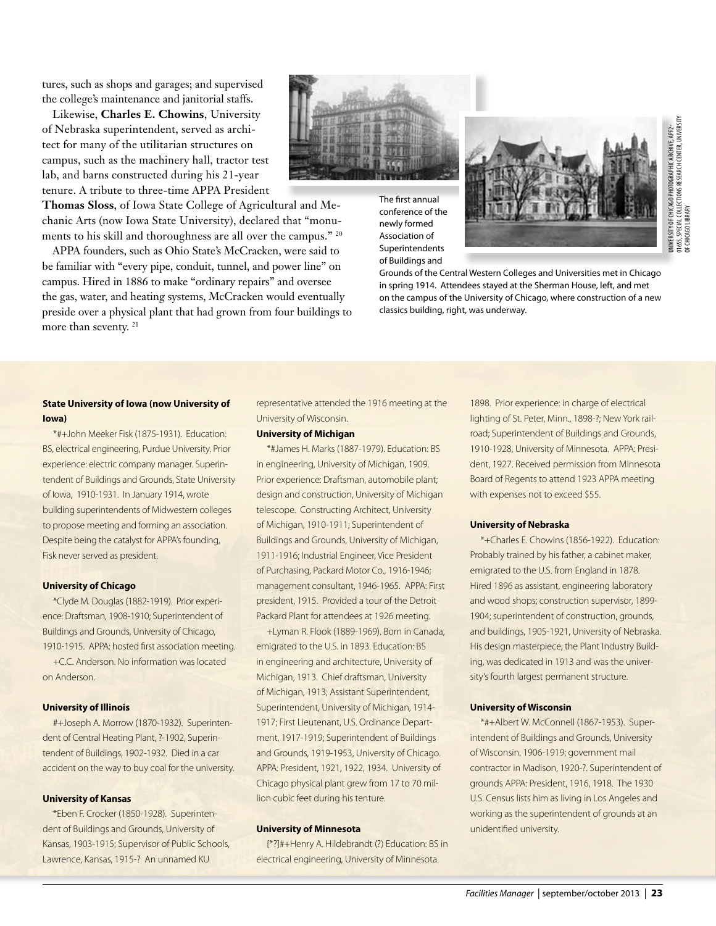tures, such as shops and garages; and supervised the college's maintenance and janitorial staffs.

Likewise, **Charles E. Chowins**, University of Nebraska superintendent, served as architect for many of the utilitarian structures on campus, such as the machinery hall, tractor test lab, and barns constructed during his 21-year tenure. A tribute to three-time APPA President

**Thomas Sloss**, of Iowa State College of Agricultural and Mechanic Arts (now Iowa State University), declared that "monuments to his skill and thoroughness are all over the campus." 20

APPA founders, such as Ohio State's McCracken, were said to be familiar with "every pipe, conduit, tunnel, and power line" on campus. Hired in 1886 to make "ordinary repairs" and oversee the gas, water, and heating systems, McCracken would eventually preside over a physical plant that had grown from four buildings to more than seventy. 21

The first annual conference of the newly formed Association of Superintendents

of Buildings and



01655, SPECIAL COLLECTIONS RESEARCH CENTER, UNIVERSITY JNWERSITY OF CHICAGO PHOTOGRAPHIC ARCHIVE, APF2-<br>11655, SPECIAL COLLECTIONS RESEARCH CENTER, UNIVERSITY<br>JF CHICAGO LIBRARY UNIVERSITY OF CHICAGO PHOTOGRAPHIC ARCHIVE, APF2- OF CHICAGO LIBRARY

Grounds of the Central Western Colleges and Universities met in Chicago in spring 1914. Attendees stayed at the Sherman House, left, and met on the campus of the University of Chicago, where construction of a new classics building, right, was underway.

# **State University of Iowa (now University of Iowa)**

\*#+John Meeker Fisk (1875-1931). Education: BS, electrical engineering, Purdue University. Prior experience: electric company manager. Superintendent of Buildings and Grounds, State University of Iowa, 1910-1931. In January 1914, wrote building superintendents of Midwestern colleges to propose meeting and forming an association. Despite being the catalyst for APPA's founding, Fisk never served as president.

#### **University of Chicago**

\*Clyde M. Douglas (1882-1919). Prior experience: Draftsman, 1908-1910; Superintendent of Buildings and Grounds, University of Chicago, 1910-1915. APPA: hosted first association meeting.

+C.C. Anderson. No information was located on Anderson.

#### **University of Illinois**

#+Joseph A. Morrow (1870-1932). Superintendent of Central Heating Plant, ?-1902, Superintendent of Buildings, 1902-1932. Died in a car accident on the way to buy coal for the university.

#### **University of Kansas**

\*Eben F. Crocker (1850-1928). Superintendent of Buildings and Grounds, University of Kansas, 1903-1915; Supervisor of Public Schools, Lawrence, Kansas, 1915-? An unnamed KU

representative attended the 1916 meeting at the University of Wisconsin.

#### **University of Michigan**

\*#James H. Marks (1887-1979). Education: BS in engineering, University of Michigan, 1909. Prior experience: Draftsman, automobile plant; design and construction, University of Michigan telescope. Constructing Architect, University of Michigan, 1910-1911; Superintendent of Buildings and Grounds, University of Michigan, 1911-1916; Industrial Engineer, Vice President of Purchasing, Packard Motor Co., 1916-1946; management consultant, 1946-1965. APPA: First president, 1915. Provided a tour of the Detroit Packard Plant for attendees at 1926 meeting.

+Lyman R. Flook (1889-1969). Born in Canada, emigrated to the U.S. in 1893. Education: BS in engineering and architecture, University of Michigan, 1913. Chief draftsman, University of Michigan, 1913; Assistant Superintendent, Superintendent, University of Michigan, 1914- 1917; First Lieutenant, U.S. Ordinance Department, 1917-1919; Superintendent of Buildings and Grounds, 1919-1953, University of Chicago. APPA: President, 1921, 1922, 1934. University of Chicago physical plant grew from 17 to 70 million cubic feet during his tenture.

## **University of Minnesota**

[\*?]#+Henry A. Hildebrandt (?) Education: BS in electrical engineering, University of Minnesota.

1898. Prior experience: in charge of electrical lighting of St. Peter, Minn., 1898-?; New York railroad; Superintendent of Buildings and Grounds, 1910-1928, University of Minnesota. APPA: President, 1927. Received permission from Minnesota Board of Regents to attend 1923 APPA meeting with expenses not to exceed \$55.

#### **University of Nebraska**

\*+Charles E. Chowins (1856-1922). Education: Probably trained by his father, a cabinet maker, emigrated to the U.S. from England in 1878. Hired 1896 as assistant, engineering laboratory and wood shops; construction supervisor, 1899- 1904; superintendent of construction, grounds, and buildings, 1905-1921, University of Nebraska. His design masterpiece, the Plant Industry Building, was dedicated in 1913 and was the university's fourth largest permanent structure.

#### **University of Wisconsin**

\*#+Albert W. McConnell (1867-1953). Superintendent of Buildings and Grounds, University of Wisconsin, 1906-1919; government mail contractor in Madison, 1920-?. Superintendent of grounds APPA: President, 1916, 1918. The 1930 U.S. Census lists him as living in Los Angeles and working as the superintendent of grounds at an unidentified university.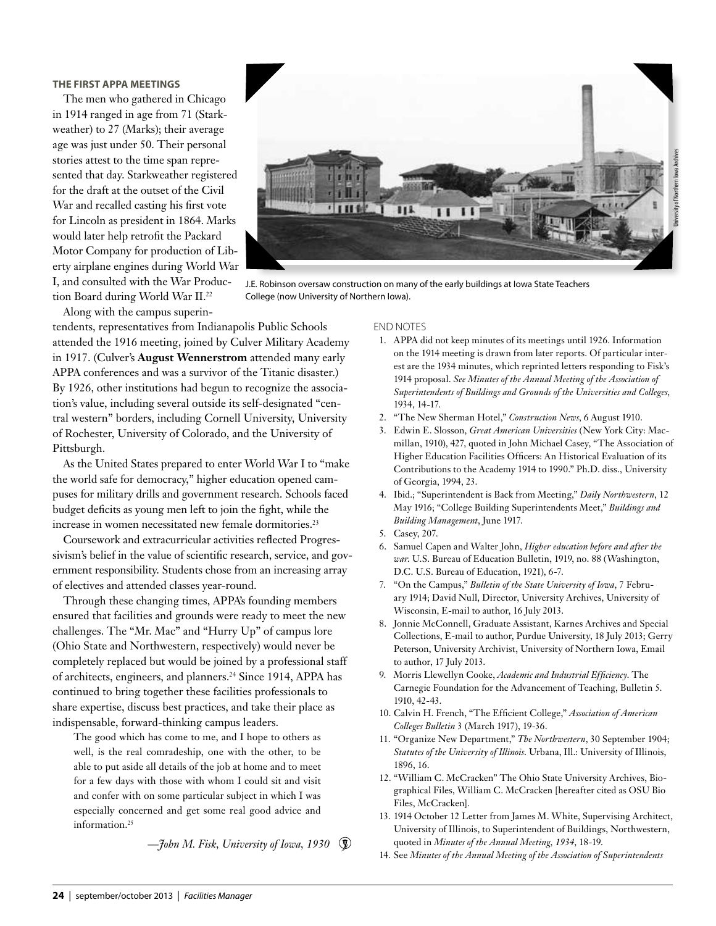# **THE FIRST APPA MEETINGS**

The men who gathered in Chicago in 1914 ranged in age from 71 (Starkweather) to 27 (Marks); their average age was just under 50. Their personal stories attest to the time span represented that day. Starkweather registered for the draft at the outset of the Civil War and recalled casting his first vote for Lincoln as president in 1864. Marks would later help retrofit the Packard Motor Company for production of Liberty airplane engines during World War I, and consulted with the War Production Board during World War II.22 Along with the campus superin-



J.E. Robinson oversaw construction on many of the early buildings at Iowa State Teachers College (now University of Northern Iowa).

tendents, representatives from Indianapolis Public Schools attended the 1916 meeting, joined by Culver Military Academy in 1917. (Culver's **August Wennerstrom** attended many early APPA conferences and was a survivor of the Titanic disaster.) By 1926, other institutions had begun to recognize the association's value, including several outside its self-designated "central western" borders, including Cornell University, University of Rochester, University of Colorado, and the University of

Pittsburgh. As the United States prepared to enter World War I to "make the world safe for democracy," higher education opened campuses for military drills and government research. Schools faced budget deficits as young men left to join the fight, while the increase in women necessitated new female dormitories.<sup>23</sup>

Coursework and extracurricular activities reflected Progressivism's belief in the value of scientific research, service, and government responsibility. Students chose from an increasing array of electives and attended classes year-round.

Through these changing times, APPA's founding members ensured that facilities and grounds were ready to meet the new challenges. The "Mr. Mac" and "Hurry Up" of campus lore (Ohio State and Northwestern, respectively) would never be completely replaced but would be joined by a professional staff of architects, engineers, and planners.24 Since 1914, APPA has continued to bring together these facilities professionals to share expertise, discuss best practices, and take their place as indispensable, forward-thinking campus leaders.

The good which has come to me, and I hope to others as well, is the real comradeship, one with the other, to be able to put aside all details of the job at home and to meet for a few days with those with whom I could sit and visit and confer with on some particular subject in which I was especially concerned and get some real good advice and information.25

*—John M. Fisk, University of Iowa, 1930*

#### END NOTES

- 1. APPA did not keep minutes of its meetings until 1926. Information on the 1914 meeting is drawn from later reports. Of particular interest are the 1934 minutes, which reprinted letters responding to Fisk's 1914 proposal. *See Minutes of the Annual Meeting of the Association of Superintendents of Buildings and Grounds of the Universities and Colleges,* 1934, 14-17.
- 2. "The New Sherman Hotel," *Construction News*, 6 August 1910.
- 3. Edwin E. Slosson, *Great American Universities* (New York City: Macmillan, 1910), 427, quoted in John Michael Casey, "The Association of Higher Education Facilities Officers: An Historical Evaluation of its Contributions to the Academy 1914 to 1990." Ph.D. diss., University of Georgia, 1994, 23.
- 4. Ibid.; "Superintendent is Back from Meeting," *Daily Northwestern*, 12 May 1916; "College Building Superintendents Meet," *Buildings and Building Management*, June 1917.
- 5. Casey, 207.
- 6. Samuel Capen and Walter John, *Higher education before and after the war*. U.S. Bureau of Education Bulletin, 1919, no. 88 (Washington, D.C. U.S. Bureau of Education, 1921), 6-7.
- 7. "On the Campus," *Bulletin of the State University of Iowa*, 7 February 1914; David Null, Director, University Archives, University of Wisconsin, E-mail to author, 16 July 2013.
- 8. Jonnie McConnell, Graduate Assistant, Karnes Archives and Special Collections, E-mail to author, Purdue University, 18 July 2013; Gerry Peterson, University Archivist, University of Northern Iowa, Email to author, 17 July 2013.
- 9. Morris Llewellyn Cooke, *Academic and Industrial Efficiency*. The Carnegie Foundation for the Advancement of Teaching, Bulletin 5. 1910, 42-43.
- 10. Calvin H. French, "The Efficient College," *Association of American Colleges Bulletin* 3 (March 1917), 19-36.
- 11. "Organize New Department," *The Northwestern*, 30 September 1904; *Statutes of the University of Illinois*. Urbana, Ill.: University of Illinois, 1896, 16.
- 12. "William C. McCracken" The Ohio State University Archives, Biographical Files, William C. McCracken [hereafter cited as OSU Bio Files, McCracken].
- 13. 1914 October 12 Letter from James M. White, Supervising Architect, University of Illinois, to Superintendent of Buildings, Northwestern, quoted in *Minutes of the Annual Meeting, 1934*, 18-19.
- 14. See *Minutes of the Annual Meeting of the Association of Superintendents*